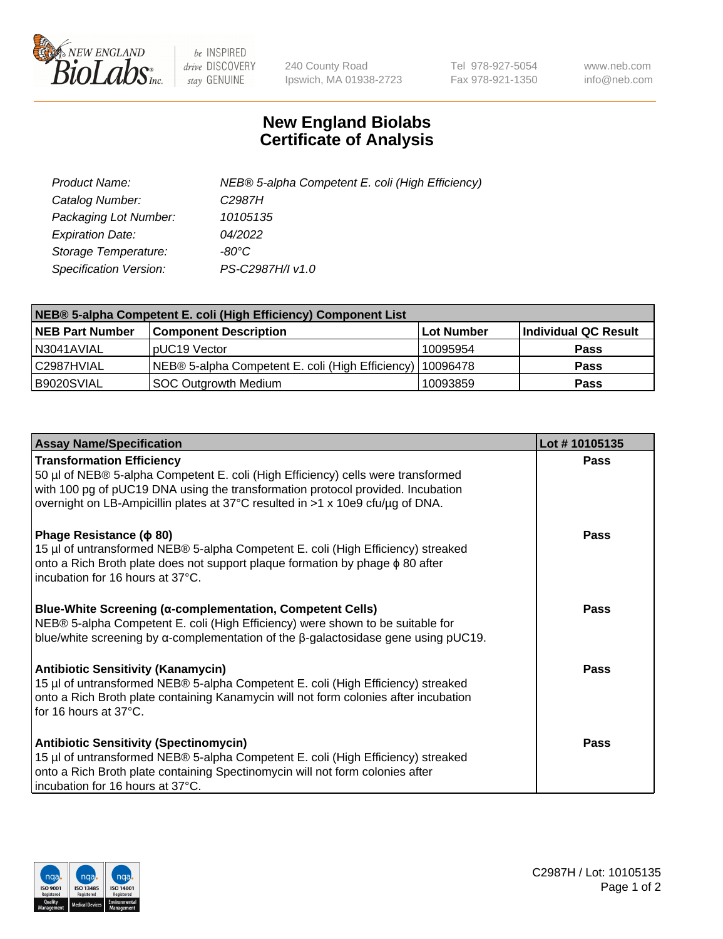

 $be$  INSPIRED drive DISCOVERY stay GENUINE

240 County Road Ipswich, MA 01938-2723 Tel 978-927-5054 Fax 978-921-1350 www.neb.com info@neb.com

## **New England Biolabs Certificate of Analysis**

| Product Name:           | NEB® 5-alpha Competent E. coli (High Efficiency) |
|-------------------------|--------------------------------------------------|
| Catalog Number:         | C <sub>2987</sub> H                              |
| Packaging Lot Number:   | 10105135                                         |
| <b>Expiration Date:</b> | 04/2022                                          |
| Storage Temperature:    | -80°C.                                           |
| Specification Version:  | PS-C2987H/I v1.0                                 |

| NEB® 5-alpha Competent E. coli (High Efficiency) Component List |                                                  |                   |                      |  |
|-----------------------------------------------------------------|--------------------------------------------------|-------------------|----------------------|--|
| <b>NEB Part Number</b>                                          | <b>Component Description</b>                     | <b>Lot Number</b> | Individual QC Result |  |
| N3041AVIAL                                                      | pUC19 Vector                                     | 10095954          | <b>Pass</b>          |  |
| C2987HVIAL                                                      | NEB® 5-alpha Competent E. coli (High Efficiency) | 10096478          | <b>Pass</b>          |  |
| B9020SVIAL                                                      | <b>SOC Outgrowth Medium</b>                      | 10093859          | <b>Pass</b>          |  |

| <b>Assay Name/Specification</b>                                                                                                                                                                                                                                                           | Lot #10105135 |
|-------------------------------------------------------------------------------------------------------------------------------------------------------------------------------------------------------------------------------------------------------------------------------------------|---------------|
| <b>Transformation Efficiency</b><br>50 µl of NEB® 5-alpha Competent E. coli (High Efficiency) cells were transformed<br>with 100 pg of pUC19 DNA using the transformation protocol provided. Incubation<br>overnight on LB-Ampicillin plates at 37°C resulted in >1 x 10e9 cfu/µg of DNA. | Pass          |
| Phage Resistance ( $\phi$ 80)<br>15 µl of untransformed NEB® 5-alpha Competent E. coli (High Efficiency) streaked<br>onto a Rich Broth plate does not support plaque formation by phage $\phi$ 80 after<br>l incubation for 16 hours at 37°C.                                             | Pass          |
| Blue-White Screening (α-complementation, Competent Cells)<br>NEB® 5-alpha Competent E. coli (High Efficiency) were shown to be suitable for<br>blue/white screening by $\alpha$ -complementation of the $\beta$ -galactosidase gene using pUC19.                                          | <b>Pass</b>   |
| <b>Antibiotic Sensitivity (Kanamycin)</b><br>15 µl of untransformed NEB® 5-alpha Competent E. coli (High Efficiency) streaked<br>onto a Rich Broth plate containing Kanamycin will not form colonies after incubation<br>for 16 hours at 37°C.                                            | <b>Pass</b>   |
| <b>Antibiotic Sensitivity (Spectinomycin)</b><br>15 µl of untransformed NEB® 5-alpha Competent E. coli (High Efficiency) streaked<br>onto a Rich Broth plate containing Spectinomycin will not form colonies after<br>incubation for 16 hours at 37°C.                                    | Pass          |